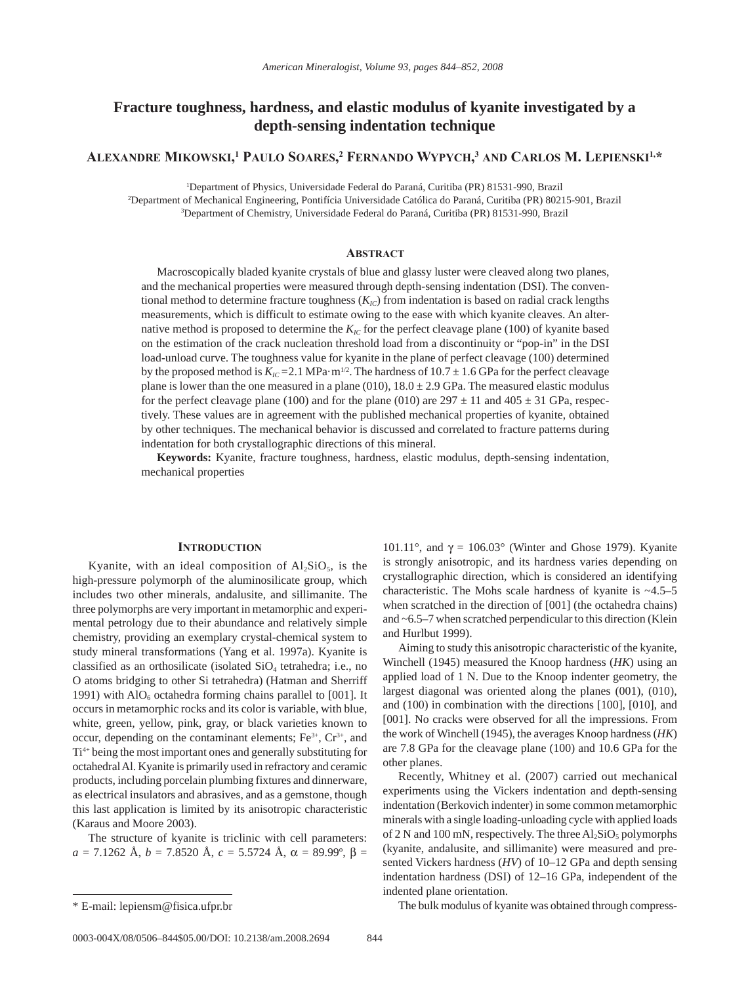# **Fracture toughness, hardness, and elastic modulus of kyanite investigated by a depth-sensing indentation technique**

**Alexandre Mikowski, 1 Paulo Soares, 2 Fernando Wypych, <sup>3</sup> and Carlos M. Lepienski1,\***

1 Department of Physics, Universidade Federal do Paraná, Curitiba (PR) 81531-990, Brazil

2 Department of Mechanical Engineering, Pontifícia Universidade Católica do Paraná, Curitiba (PR) 80215-901, Brazil 3 Department of Chemistry, Universidade Federal do Paraná, Curitiba (PR) 81531-990, Brazil

# **Abstract**

Macroscopically bladed kyanite crystals of blue and glassy luster were cleaved along two planes, and the mechanical properties were measured through depth-sensing indentation (DSI). The conventional method to determine fracture toughness ( $K_{IC}$ ) from indentation is based on radial crack lengths measurements, which is difficult to estimate owing to the ease with which kyanite cleaves. An alternative method is proposed to determine the  $K_{IC}$  for the perfect cleavage plane (100) of kyanite based on the estimation of the crack nucleation threshold load from a discontinuity or "pop-in" in the DSI load-unload curve. The toughness value for kyanite in the plane of perfect cleavage (100) determined by the proposed method is  $K_{IC}$  = 2.1 MPa·m<sup>1/2</sup>. The hardness of 10.7  $\pm$  1.6 GPa for the perfect cleavage plane is lower than the one measured in a plane (010),  $18.0 \pm 2.9$  GPa. The measured elastic modulus for the perfect cleavage plane (100) and for the plane (010) are  $297 \pm 11$  and  $405 \pm 31$  GPa, respectively. These values are in agreement with the published mechanical properties of kyanite, obtained by other techniques. The mechanical behavior is discussed and correlated to fracture patterns during indentation for both crystallographic directions of this mineral.

**Keywords:** Kyanite, fracture toughness, hardness, elastic modulus, depth-sensing indentation, mechanical properties

## **Introduction**

Kyanite, with an ideal composition of  $Al<sub>2</sub>SiO<sub>5</sub>$ , is the high-pressure polymorph of the aluminosilicate group, which includes two other minerals, andalusite, and sillimanite. The three polymorphs are very important in metamorphic and experimental petrology due to their abundance and relatively simple chemistry, providing an exemplary crystal-chemical system to study mineral transformations (Yang et al. 1997a). Kyanite is classified as an orthosilicate (isolated  $SiO<sub>4</sub>$  tetrahedra; i.e., no O atoms bridging to other Si tetrahedra) (Hatman and Sherriff 1991) with  $AIO<sub>6</sub>$  octahedra forming chains parallel to [001]. It occurs in metamorphic rocks and its color is variable, with blue, white, green, yellow, pink, gray, or black varieties known to occur, depending on the contaminant elements;  $Fe<sup>3+</sup>$ ,  $Cr<sup>3+</sup>$ , and Ti4+ being the most important ones and generally substituting for octahedral Al. Kyanite is primarily used in refractory and ceramic products, including porcelain plumbing fixtures and dinnerware, as electrical insulators and abrasives, and as a gemstone, though this last application is limited by its anisotropic characteristic (Karaus and Moore 2003).

The structure of kyanite is triclinic with cell parameters:  $a = 7.1262 \text{ Å}, b = 7.8520 \text{ Å}, c = 5.5724 \text{ Å}, \alpha = 89.99^{\circ}, \beta =$  101.11°, and  $\gamma = 106.03$ ° (Winter and Ghose 1979). Kyanite is strongly anisotropic, and its hardness varies depending on crystallographic direction, which is considered an identifying characteristic. The Mohs scale hardness of kyanite is ~4.5–5 when scratched in the direction of [001] (the octahedra chains) and ~6.5–7 when scratched perpendicular to this direction (Klein and Hurlbut 1999).

Aiming to study this anisotropic characteristic of the kyanite, Winchell (1945) measured the Knoop hardness (*HK*) using an applied load of 1 N. Due to the Knoop indenter geometry, the largest diagonal was oriented along the planes (001), (010), and (100) in combination with the directions [100], [010], and [001]. No cracks were observed for all the impressions. From the work of Winchell (1945), the averages Knoop hardness (*HK*) are 7.8 GPa for the cleavage plane (100) and 10.6 GPa for the other planes.

Recently, Whitney et al. (2007) carried out mechanical experiments using the Vickers indentation and depth-sensing indentation (Berkovich indenter) in some common metamorphic minerals with a single loading-unloading cycle with applied loads of 2 N and 100 mN, respectively. The three  $Al_2SiO_5$  polymorphs (kyanite, andalusite, and sillimanite) were measured and presented Vickers hardness (*HV*) of 10–12 GPa and depth sensing indentation hardness (DSI) of 12–16 GPa, independent of the indented plane orientation.

\* E-mail: lepiensm@fisica.ufpr.br The bulk modulus of kyanite was obtained through compress-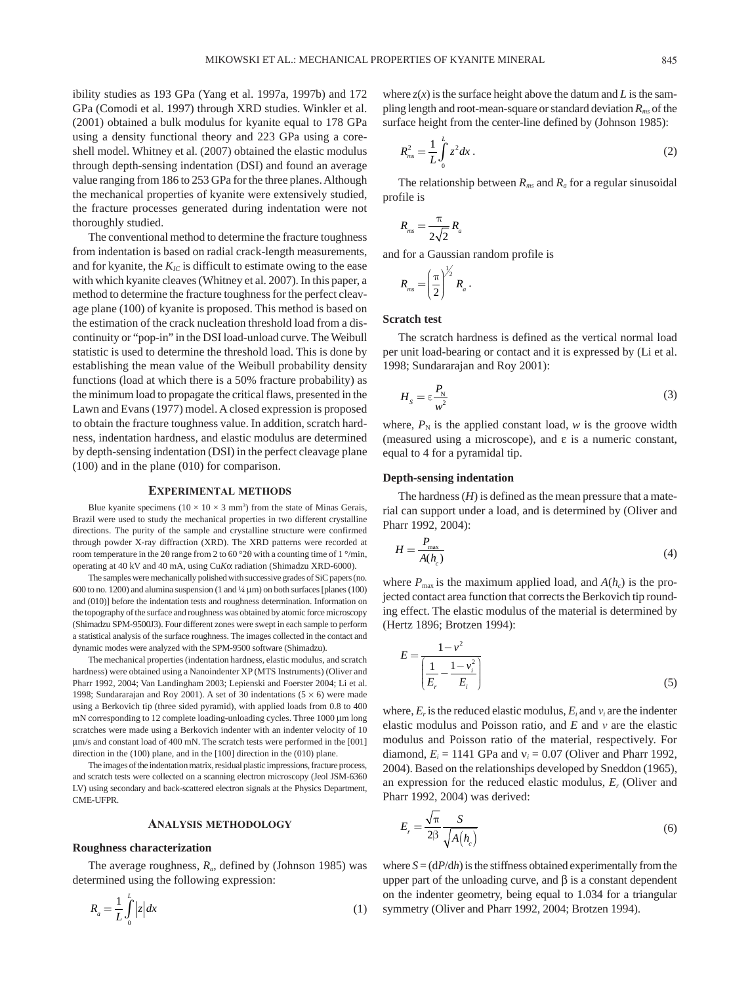ibility studies as 193 GPa (Yang et al. 1997a, 1997b) and 172 GPa (Comodi et al. 1997) through XRD studies. Winkler et al. (2001) obtained a bulk modulus for kyanite equal to 178 GPa using a density functional theory and 223 GPa using a coreshell model. Whitney et al. (2007) obtained the elastic modulus through depth-sensing indentation (DSI) and found an average value ranging from 186 to 253 GPa for the three planes. Although the mechanical properties of kyanite were extensively studied, the fracture processes generated during indentation were not thoroughly studied.

The conventional method to determine the fracture toughness from indentation is based on radial crack-length measurements, and for kyanite, the  $K_{IC}$  is difficult to estimate owing to the ease with which kyanite cleaves (Whitney et al. 2007). In this paper, a method to determine the fracture toughness for the perfect cleavage plane (100) of kyanite is proposed. This method is based on the estimation of the crack nucleation threshold load from a discontinuity or "pop-in" in the DSI load-unload curve. The Weibull statistic is used to determine the threshold load. This is done by establishing the mean value of the Weibull probability density functions (load at which there is a 50% fracture probability) as the minimum load to propagate the critical flaws, presented in the Lawn and Evans (1977) model. A closed expression is proposed to obtain the fracture toughness value. In addition, scratch hardness, indentation hardness, and elastic modulus are determined by depth-sensing indentation (DSI) in the perfect cleavage plane (100) and in the plane (010) for comparison.

#### **Experimental methods**

Blue kyanite specimens  $(10 \times 10 \times 3 \text{ mm}^3)$  from the state of Minas Gerais, Brazil were used to study the mechanical properties in two different crystalline directions. The purity of the sample and crystalline structure were confirmed through powder X-ray diffraction (XRD). The XRD patterns were recorded at room temperature in the 2θ range from 2 to 60 °2θ with a counting time of 1 °/min, operating at 40 kV and 40 mA, using Cu*K*α radiation (Shimadzu XRD-6000).

The samples were mechanically polished with successive grades of SiC papers (no. 600 to no. 1200) and alumina suspension (1 and  $\frac{1}{4} \mu$ m) on both surfaces [planes (100) and (010)] before the indentation tests and roughness determination. Information on the topography of the surface and roughness was obtained by atomic force microscopy (Shimadzu SPM-9500J3). Four different zones were swept in each sample to perform a statistical analysis of the surface roughness. The images collected in the contact and dynamic modes were analyzed with the SPM-9500 software (Shimadzu).

The mechanical properties (indentation hardness, elastic modulus, and scratch hardness) were obtained using a Nanoindenter XP (MTS Instruments) (Oliver and Pharr 1992, 2004; Van Landingham 2003; Lepienski and Foerster 2004; Li et al. 1998; Sundararajan and Roy 2001). A set of 30 indentations  $(5 \times 6)$  were made using a Berkovich tip (three sided pyramid), with applied loads from 0.8 to 400 mN corresponding to 12 complete loading-unloading cycles. Three 1000 µm long scratches were made using a Berkovich indenter with an indenter velocity of 10 µm/s and constant load of 400 mN. The scratch tests were performed in the [001] direction in the (100) plane, and in the [100] direction in the (010) plane.

The images of the indentation matrix, residual plastic impressions, fracture process, and scratch tests were collected on a scanning electron microscopy (Jeol JSM-6360 LV) using secondary and back-scattered electron signals at the Physics Department, CME-UFPR.

#### **Analysis methodology**

#### **Roughness characterization**

The average roughness,  $R_a$ , defined by (Johnson 1985) was determined using the following expression:

$$
R_a = \frac{1}{L} \int_0^L |z| dx \tag{1}
$$

where  $z(x)$  is the surface height above the datum and *L* is the sampling length and root-mean-square or standard deviation  $R_{mg}$  of the surface height from the center-line defined by (Johnson 1985):

$$
R_{ms}^2 = \frac{1}{L} \int_0^L z^2 dx \,. \tag{2}
$$

The relationship between  $R_{ms}$  and  $R_a$  for a regular sinusoidal profile is

$$
R_{_{ms}} = \frac{\pi}{2\sqrt{2}} R_a
$$

and for a Gaussian random profile is

$$
R_{\rm ms} = \left(\frac{\pi}{2}\right)^{\frac{1}{2}} R_a.
$$

## **Scratch test**

The scratch hardness is defined as the vertical normal load per unit load-bearing or contact and it is expressed by (Li et al. 1998; Sundararajan and Roy 2001):

$$
H_s = \varepsilon \frac{P_N}{w^2} \tag{3}
$$

where,  $P_N$  is the applied constant load, *w* is the groove width (measured using a microscope), and ε is a numeric constant, equal to 4 for a pyramidal tip.

## **Depth-sensing indentation**

The hardness  $(H)$  is defined as the mean pressure that a material can support under a load, and is determined by (Oliver and Pharr 1992, 2004):

$$
H = \frac{P_{\text{max}}}{A(h_c)}\tag{4}
$$

where  $P_{\text{max}}$  is the maximum applied load, and  $A(h_c)$  is the projected contact area function that corrects the Berkovich tip rounding effect. The elastic modulus of the material is determined by (Hertz 1896; Brotzen 1994):

$$
E = \frac{1 - v^2}{\left(\frac{1}{E_r} - \frac{1 - v_i^2}{E_i}\right)}
$$
(5)

where,  $E_r$  is the reduced elastic modulus,  $E_i$  and  $v_i$  are the indenter elastic modulus and Poisson ratio, and *E* and *ν* are the elastic modulus and Poisson ratio of the material, respectively. For diamond,  $E_i = 1141$  GPa and  $v_i = 0.07$  (Oliver and Pharr 1992, 2004). Based on the relationships developed by Sneddon (1965), an expression for the reduced elastic modulus, *Er* (Oliver and Pharr 1992, 2004) was derived:

$$
E_r = \frac{\sqrt{\pi}}{2\beta} \frac{S}{\sqrt{A(h_c)}}\tag{6}
$$

where  $S = (dP/dh)$  is the stiffness obtained experimentally from the upper part of the unloading curve, and  $β$  is a constant dependent on the indenter geometry, being equal to 1.034 for a triangular symmetry (Oliver and Pharr 1992, 2004; Brotzen 1994).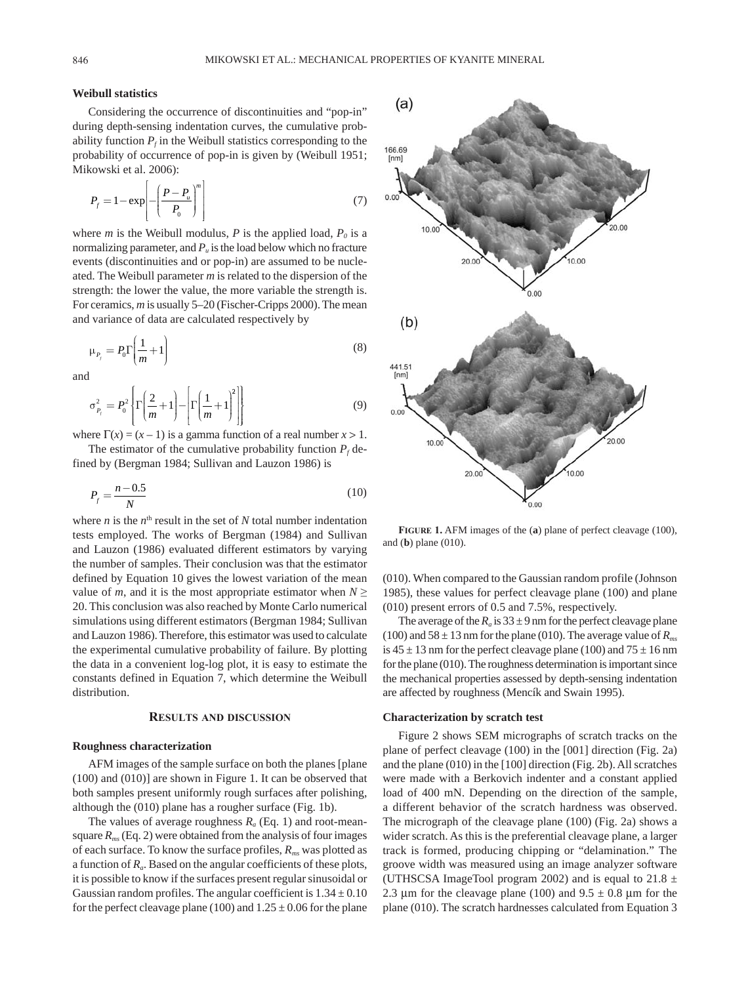# **Weibull statistics**

Considering the occurrence of discontinuities and "pop-in" during depth-sensing indentation curves, the cumulative probability function  $P_f$  in the Weibull statistics corresponding to the probability of occurrence of pop-in is given by (Weibull 1951; Mikowski et al. 2006):

$$
P_f = 1 - \exp\left[-\left(\frac{P - P_u}{P_0}\right)^m\right] \tag{7}
$$

where *m* is the Weibull modulus, *P* is the applied load,  $P_0$  is a normalizing parameter, and  $P_{\mu}$  is the load below which no fracture events (discontinuities and or pop-in) are assumed to be nucleated. The Weibull parameter *m* is related to the dispersion of the strength: the lower the value, the more variable the strength is. For ceramics, *m* is usually 5–20 (Fischer-Cripps 2000). The mean and variance of data are calculated respectively by

$$
\mu_{P_f} = P_0 \Gamma \left( \frac{1}{m} + 1 \right) \tag{8}
$$

and

$$
\sigma_{P_f}^2 = P_0^2 \left\{ \Gamma \left( \frac{2}{m} + 1 \right) - \left[ \Gamma \left( \frac{1}{m} + 1 \right)^2 \right] \right\} \tag{9}
$$

where  $\Gamma(x) = (x - 1)$  is a gamma function of a real number  $x > 1$ .

The estimator of the cumulative probability function  $P_f$  defined by (Bergman 1984; Sullivan and Lauzon 1986) is

$$
P_f = \frac{n - 0.5}{N} \tag{10}
$$

where  $n$  is the  $n<sup>th</sup>$  result in the set of  $N$  total number indentation tests employed. The works of Bergman (1984) and Sullivan and Lauzon (1986) evaluated different estimators by varying the number of samples. Their conclusion was that the estimator defined by Equation 10 gives the lowest variation of the mean value of *m*, and it is the most appropriate estimator when  $N \geq$ 20. This conclusion was also reached by Monte Carlo numerical simulations using different estimators (Bergman 1984; Sullivan and Lauzon 1986). Therefore, this estimator was used to calculate the experimental cumulative probability of failure. By plotting the data in a convenient log-log plot, it is easy to estimate the constants defined in Equation 7, which determine the Weibull distribution.

#### **Results and discussion**

#### **Roughness characterization**

AFM images of the sample surface on both the planes [plane (100) and (010)] are shown in Figure 1. It can be observed that both samples present uniformly rough surfaces after polishing, although the (010) plane has a rougher surface (Fig. 1b).

The values of average roughness  $R_a$  (Eq. 1) and root-meansquare  $R_{ms}$  (Eq. 2) were obtained from the analysis of four images of each surface. To know the surface profiles, *Rms* was plotted as a function of *Ra*. Based on the angular coefficients of these plots, it is possible to know if the surfaces present regular sinusoidal or Gaussian random profiles. The angular coefficient is  $1.34 \pm 0.10$ for the perfect cleavage plane (100) and  $1.25 \pm 0.06$  for the plane



**Figure 1.** AFM images of the (**a**) plane of perfect cleavage (100), and (**b**) plane (010).

(010). When compared to the Gaussian random profile (Johnson 1985), these values for perfect cleavage plane (100) and plane (010) present errors of 0.5 and 7.5%, respectively.

The average of the  $R_a$  is  $33 \pm 9$  nm for the perfect cleavage plane (100) and  $58 \pm 13$  nm for the plane (010). The average value of  $R_{ms}$ is  $45 \pm 13$  nm for the perfect cleavage plane (100) and  $75 \pm 16$  nm for the plane (010). The roughness determination is important since the mechanical properties assessed by depth-sensing indentation are affected by roughness (Mencík and Swain 1995).

#### **Characterization by scratch test**

Figure 2 shows SEM micrographs of scratch tracks on the plane of perfect cleavage (100) in the [001] direction (Fig. 2a) and the plane (010) in the [100] direction (Fig. 2b). All scratches were made with a Berkovich indenter and a constant applied load of 400 mN. Depending on the direction of the sample, a different behavior of the scratch hardness was observed. The micrograph of the cleavage plane (100) (Fig. 2a) shows a wider scratch. As this is the preferential cleavage plane, a larger track is formed, producing chipping or "delamination." The groove width was measured using an image analyzer software (UTHSCSA ImageTool program 2002) and is equal to 21.8  $\pm$ 2.3  $\mu$ m for the cleavage plane (100) and 9.5  $\pm$  0.8  $\mu$ m for the plane (010). The scratch hardnesses calculated from Equation 3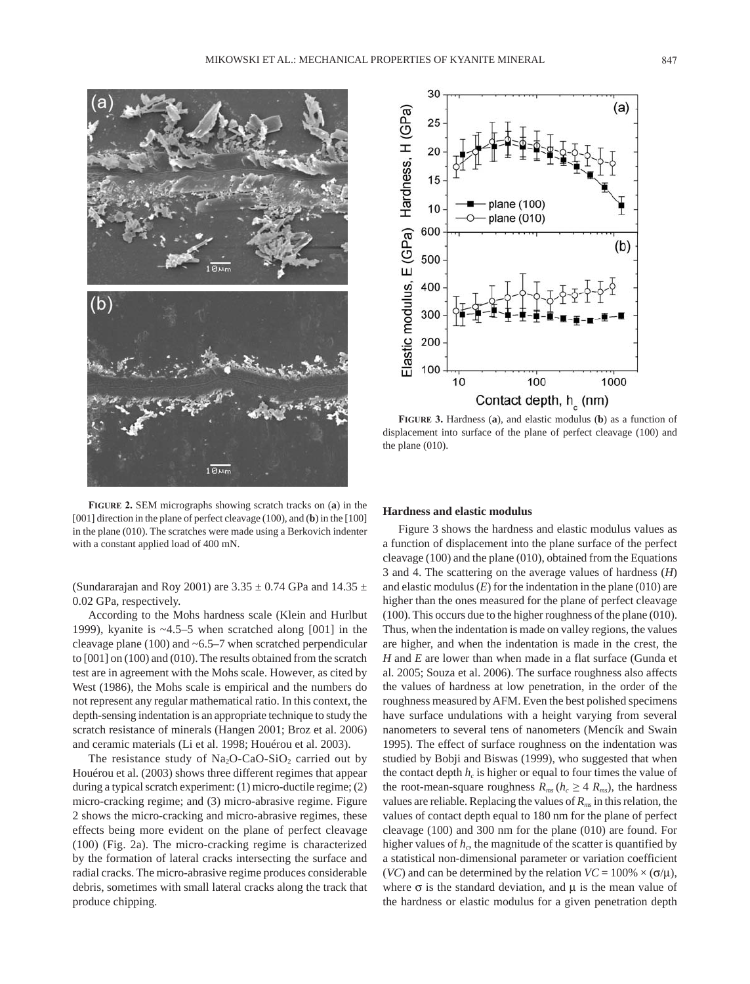

**Figure 2.** SEM micrographs showing scratch tracks on (**a**) in the [001] direction in the plane of perfect cleavage (100), and (**b**) in the [100] in the plane (010). The scratches were made using a Berkovich indenter with a constant applied load of 400 mN.

(Sundararajan and Roy 2001) are  $3.35 \pm 0.74$  GPa and  $14.35 \pm 0.74$ 0.02 GPa, respectively.

According to the Mohs hardness scale (Klein and Hurlbut 1999), kyanite is ~4.5–5 when scratched along [001] in the cleavage plane (100) and ~6.5–7 when scratched perpendicular to [001] on (100) and (010). The results obtained from the scratch test are in agreement with the Mohs scale. However, as cited by West (1986), the Mohs scale is empirical and the numbers do not represent any regular mathematical ratio. In this context, the depth-sensing indentation is an appropriate technique to study the scratch resistance of minerals (Hangen 2001; Broz et al. 2006) and ceramic materials (Li et al. 1998; Houérou et al. 2003).

The resistance study of  $Na<sub>2</sub>O-CaO-SiO<sub>2</sub>$  carried out by Houérou et al. (2003) shows three different regimes that appear during a typical scratch experiment: (1) micro-ductile regime; (2) micro-cracking regime; and (3) micro-abrasive regime. Figure 2 shows the micro-cracking and micro-abrasive regimes, these effects being more evident on the plane of perfect cleavage (100) (Fig. 2a). The micro-cracking regime is characterized by the formation of lateral cracks intersecting the surface and radial cracks. The micro-abrasive regime produces considerable debris, sometimes with small lateral cracks along the track that produce chipping.



**Figure 3.** Hardness (**a**), and elastic modulus (**b**) as a function of displacement into surface of the plane of perfect cleavage (100) and the plane (010).

#### **Hardness and elastic modulus**

Figure 3 shows the hardness and elastic modulus values as a function of displacement into the plane surface of the perfect cleavage (100) and the plane (010), obtained from the Equations 3 and 4. The scattering on the average values of hardness (*H*) and elastic modulus (*E*) for the indentation in the plane (010) are higher than the ones measured for the plane of perfect cleavage (100). This occurs due to the higher roughness of the plane (010). Thus, when the indentation is made on valley regions, the values are higher, and when the indentation is made in the crest, the *H* and *E* are lower than when made in a flat surface (Gunda et al. 2005; Souza et al. 2006). The surface roughness also affects the values of hardness at low penetration, in the order of the roughness measured by AFM. Even the best polished specimens have surface undulations with a height varying from several nanometers to several tens of nanometers (Mencík and Swain 1995). The effect of surface roughness on the indentation was studied by Bobji and Biswas (1999), who suggested that when the contact depth  $h_c$  is higher or equal to four times the value of the root-mean-square roughness  $R_{ms}$  ( $h_c \geq 4$   $R_{ms}$ ), the hardness values are reliable. Replacing the values of *Rms* in this relation, the values of contact depth equal to 180 nm for the plane of perfect cleavage (100) and 300 nm for the plane (010) are found. For higher values of  $h<sub>c</sub>$ , the magnitude of the scatter is quantified by a statistical non-dimensional parameter or variation coefficient (*VC*) and can be determined by the relation  $VC = 100\% \times (\sigma/\mu)$ , where  $\sigma$  is the standard deviation, and  $\mu$  is the mean value of the hardness or elastic modulus for a given penetration depth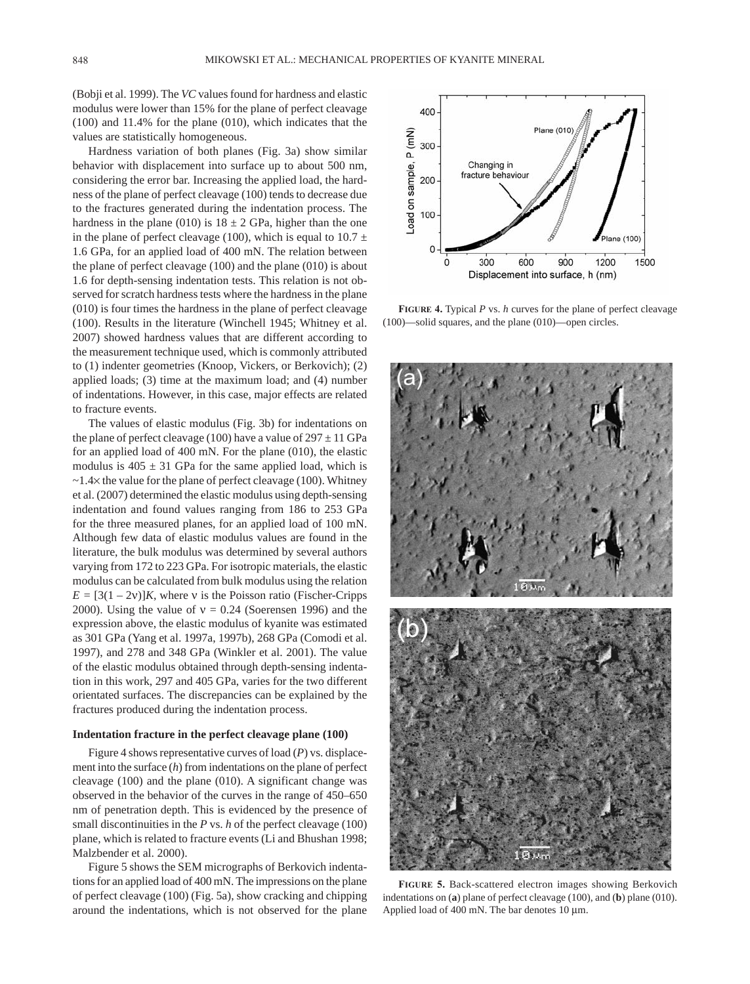(Bobji et al. 1999). The *VC* values found for hardness and elastic modulus were lower than 15% for the plane of perfect cleavage (100) and 11.4% for the plane (010), which indicates that the values are statistically homogeneous.

Hardness variation of both planes (Fig. 3a) show similar behavior with displacement into surface up to about 500 nm, considering the error bar. Increasing the applied load, the hardness of the plane of perfect cleavage (100) tends to decrease due to the fractures generated during the indentation process. The hardness in the plane (010) is  $18 \pm 2$  GPa, higher than the one in the plane of perfect cleavage (100), which is equal to  $10.7 \pm$ 1.6 GPa, for an applied load of 400 mN. The relation between the plane of perfect cleavage (100) and the plane (010) is about 1.6 for depth-sensing indentation tests. This relation is not observed for scratch hardness tests where the hardness in the plane (010) is four times the hardness in the plane of perfect cleavage (100). Results in the literature (Winchell 1945; Whitney et al. 2007) showed hardness values that are different according to the measurement technique used, which is commonly attributed to (1) indenter geometries (Knoop, Vickers, or Berkovich); (2) applied loads; (3) time at the maximum load; and (4) number of indentations. However, in this case, major effects are related to fracture events.

The values of elastic modulus (Fig. 3b) for indentations on the plane of perfect cleavage (100) have a value of  $297 \pm 11$  GPa for an applied load of 400 mN. For the plane (010), the elastic modulus is  $405 \pm 31$  GPa for the same applied load, which is  $\sim$ 1.4 $\times$  the value for the plane of perfect cleavage (100). Whitney et al. (2007) determined the elastic modulus using depth-sensing indentation and found values ranging from 186 to 253 GPa for the three measured planes, for an applied load of 100 mN. Although few data of elastic modulus values are found in the literature, the bulk modulus was determined by several authors varying from 172 to 223 GPa. For isotropic materials, the elastic modulus can be calculated from bulk modulus using the relation  $E = [3(1 – 2v)]K$ , where v is the Poisson ratio (Fischer-Cripps 2000). Using the value of  $v = 0.24$  (Soerensen 1996) and the expression above, the elastic modulus of kyanite was estimated as 301 GPa (Yang et al. 1997a, 1997b), 268 GPa (Comodi et al. 1997), and 278 and 348 GPa (Winkler et al. 2001). The value of the elastic modulus obtained through depth-sensing indentation in this work, 297 and 405 GPa, varies for the two different orientated surfaces. The discrepancies can be explained by the fractures produced during the indentation process.

## **Indentation fracture in the perfect cleavage plane (100)**

Figure 4 shows representative curves of load (*P*) vs. displacement into the surface (*h*) from indentations on the plane of perfect cleavage (100) and the plane (010). A significant change was observed in the behavior of the curves in the range of 450–650 nm of penetration depth. This is evidenced by the presence of small discontinuities in the *P* vs. *h* of the perfect cleavage (100) plane, which is related to fracture events (Li and Bhushan 1998; Malzbender et al. 2000).

Figure 5 shows the SEM micrographs of Berkovich indentations for an applied load of 400 mN. The impressions on the plane of perfect cleavage (100) (Fig. 5a), show cracking and chipping around the indentations, which is not observed for the plane



**Figure 4.** Typical *P* vs. *h* curves for the plane of perfect cleavage (100)—solid squares, and the plane (010)—open circles.



**Figure 5.** Back-scattered electron images showing Berkovich indentations on (**a**) plane of perfect cleavage (100), and (**b**) plane (010). Applied load of 400 mN. The bar denotes 10 µm.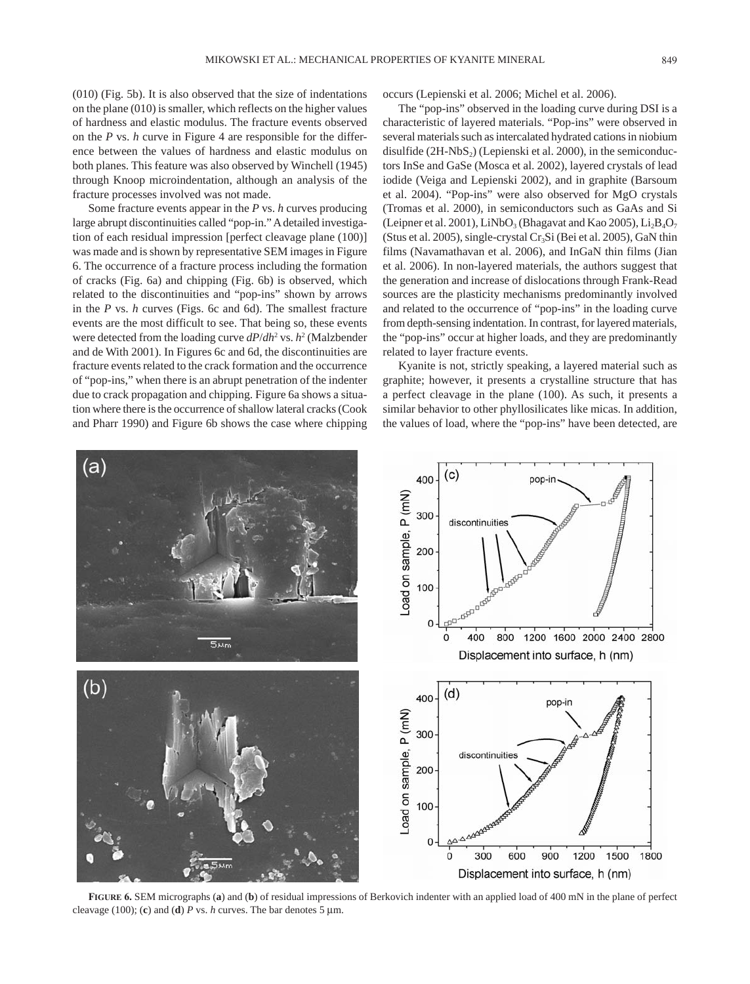(010) (Fig. 5b). It is also observed that the size of indentations on the plane (010) is smaller, which reflects on the higher values of hardness and elastic modulus. The fracture events observed on the *P* vs. *h* curve in Figure 4 are responsible for the difference between the values of hardness and elastic modulus on both planes. This feature was also observed by Winchell (1945) through Knoop microindentation, although an analysis of the fracture processes involved was not made.

Some fracture events appear in the *P* vs. *h* curves producing large abrupt discontinuities called "pop-in." A detailed investigation of each residual impression [perfect cleavage plane (100)] was made and is shown by representative SEM images in Figure 6. The occurrence of a fracture process including the formation of cracks (Fig. 6a) and chipping (Fig. 6b) is observed, which related to the discontinuities and "pop-ins" shown by arrows in the *P* vs. *h* curves (Figs. 6c and 6d). The smallest fracture events are the most difficult to see. That being so, these events were detected from the loading curve  $dP/dh^2$  vs.  $h^2$  (Malzbender and de With 2001). In Figures 6c and 6d, the discontinuities are fracture events related to the crack formation and the occurrence of "pop-ins," when there is an abrupt penetration of the indenter due to crack propagation and chipping. Figure 6a shows a situation where there is the occurrence of shallow lateral cracks (Cook and Pharr 1990) and Figure 6b shows the case where chipping

occurs (Lepienski et al. 2006; Michel et al. 2006).

The "pop-ins" observed in the loading curve during DSI is a characteristic of layered materials. "Pop-ins" were observed in several materials such as intercalated hydrated cations in niobium disulfide  $(2H-NbS<sub>2</sub>)$  (Lepienski et al. 2000), in the semiconductors InSe and GaSe (Mosca et al. 2002), layered crystals of lead iodide (Veiga and Lepienski 2002), and in graphite (Barsoum et al. 2004). "Pop-ins" were also observed for MgO crystals (Tromas et al. 2000), in semiconductors such as GaAs and Si (Leipner et al. 2001), LiNbO<sub>3</sub> (Bhagavat and Kao 2005), Li<sub>2</sub>B<sub>4</sub>O<sub>7</sub> (Stus et al. 2005), single-crystal  $Cr<sub>3</sub>Si$  (Bei et al. 2005), GaN thin films (Navamathavan et al. 2006), and InGaN thin films (Jian et al. 2006). In non-layered materials, the authors suggest that the generation and increase of dislocations through Frank-Read sources are the plasticity mechanisms predominantly involved and related to the occurrence of "pop-ins" in the loading curve from depth-sensing indentation. In contrast, for layered materials, the "pop-ins" occur at higher loads, and they are predominantly related to layer fracture events.

Kyanite is not, strictly speaking, a layered material such as graphite; however, it presents a crystalline structure that has a perfect cleavage in the plane (100). As such, it presents a similar behavior to other phyllosilicates like micas. In addition, the values of load, where the "pop-ins" have been detected, are



**Figure 6.** SEM micrographs (**a**) and (**b**) of residual impressions of Berkovich indenter with an applied load of 400 mN in the plane of perfect cleavage (100); (c) and (d)  $P$  vs.  $h$  curves. The bar denotes 5  $\mu$ m.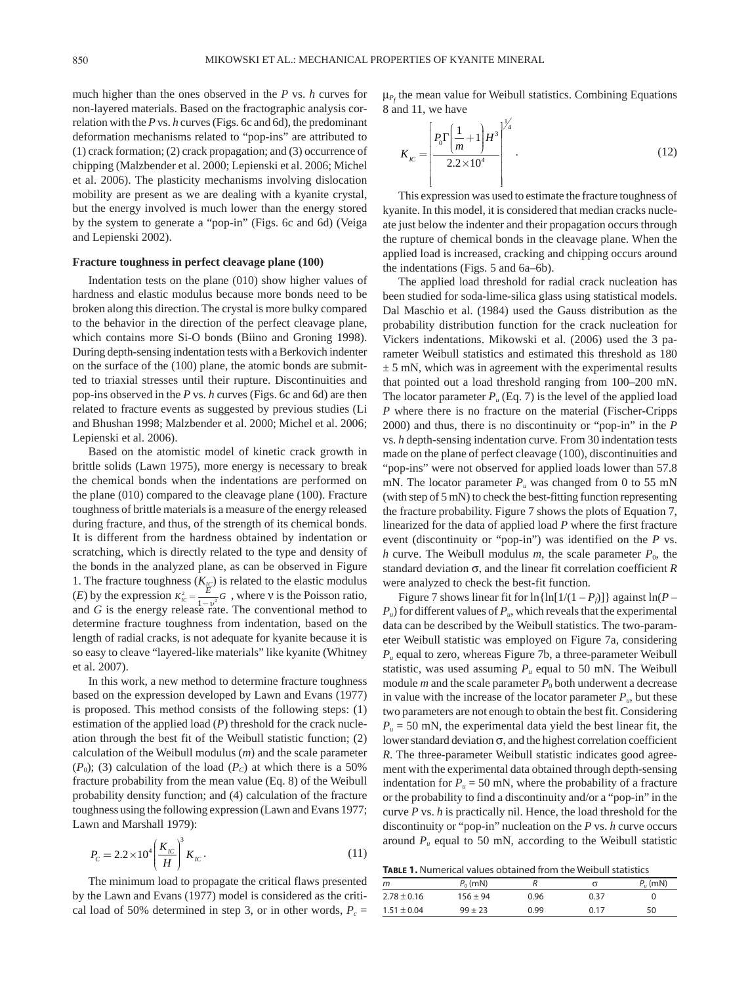Į

much higher than the ones observed in the *P* vs. *h* curves for non-layered materials. Based on the fractographic analysis correlation with the *P* vs. *h* curves (Figs. 6c and 6d), the predominant deformation mechanisms related to "pop-ins" are attributed to (1) crack formation; (2) crack propagation; and (3) occurrence of chipping (Malzbender et al. 2000; Lepienski et al. 2006; Michel et al. 2006). The plasticity mechanisms involving dislocation mobility are present as we are dealing with a kyanite crystal, but the energy involved is much lower than the energy stored by the system to generate a "pop-in" (Figs. 6c and 6d) (Veiga and Lepienski 2002).

#### **Fracture toughness in perfect cleavage plane (100)**

Indentation tests on the plane (010) show higher values of hardness and elastic modulus because more bonds need to be broken along this direction. The crystal is more bulky compared to the behavior in the direction of the perfect cleavage plane, which contains more Si-O bonds (Biino and Groning 1998). During depth-sensing indentation tests with a Berkovich indenter on the surface of the (100) plane, the atomic bonds are submitted to triaxial stresses until their rupture. Discontinuities and pop-ins observed in the *P* vs. *h* curves (Figs. 6c and 6d) are then related to fracture events as suggested by previous studies (Li and Bhushan 1998; Malzbender et al. 2000; Michel et al. 2006; Lepienski et al. 2006).

Based on the atomistic model of kinetic crack growth in brittle solids (Lawn 1975), more energy is necessary to break the chemical bonds when the indentations are performed on the plane (010) compared to the cleavage plane (100). Fracture toughness of brittle materials is a measure of the energy released during fracture, and thus, of the strength of its chemical bonds. It is different from the hardness obtained by indentation or scratching, which is directly related to the type and density of the bonds in the analyzed plane, as can be observed in Figure 1. The fracture toughness  $(K_{IC})$  is related to the elastic modulus (*E*) by the expression  $K_{ic}^{2} = \frac{E}{1 - v^{2}} G$ , where v is the Poisson ratio, and *G* is the energy release rate. The conventional method to determine fracture toughness from indentation, based on the length of radial cracks, is not adequate for kyanite because it is so easy to cleave "layered-like materials" like kyanite (Whitney et al. 2007).

In this work, a new method to determine fracture toughness based on the expression developed by Lawn and Evans (1977) is proposed. This method consists of the following steps: (1) estimation of the applied load (*P*) threshold for the crack nucleation through the best fit of the Weibull statistic function; (2) calculation of the Weibull modulus (*m*) and the scale parameter  $(P_0)$ ; (3) calculation of the load  $(P_c)$  at which there is a 50% fracture probability from the mean value (Eq. 8) of the Weibull probability density function; and (4) calculation of the fracture toughness using the following expression (Lawn and Evans 1977; Lawn and Marshall 1979):

$$
P_c = 2.2 \times 10^4 \left(\frac{K_{\text{IC}}}{H}\right)^3 K_{\text{IC}}.
$$
 (11)

The minimum load to propagate the critical flaws presented by the Lawn and Evans (1977) model is considered as the critical load of 50% determined in step 3, or in other words,  $P_c$  =  $\mu_{P_f}$  the mean value for Weibull statistics. Combining Equations 8 and 11, we have

$$
K_{IC} = \left[ \frac{P_0 \Gamma \left( \frac{1}{m} + 1 \right) H^3}{2.2 \times 10^4} \right]^{1/4} . \tag{12}
$$

This expression was used to estimate the fracture toughness of kyanite. In this model, it is considered that median cracks nucleate just below the indenter and their propagation occurs through the rupture of chemical bonds in the cleavage plane. When the applied load is increased, cracking and chipping occurs around the indentations (Figs. 5 and 6a–6b).

ļ

The applied load threshold for radial crack nucleation has been studied for soda-lime-silica glass using statistical models. Dal Maschio et al. (1984) used the Gauss distribution as the probability distribution function for the crack nucleation for Vickers indentations. Mikowski et al. (2006) used the 3 parameter Weibull statistics and estimated this threshold as 180  $\pm$  5 mN, which was in agreement with the experimental results that pointed out a load threshold ranging from 100–200 mN. The locator parameter  $P_u$  (Eq. 7) is the level of the applied load *P* where there is no fracture on the material (Fischer-Cripps 2000) and thus, there is no discontinuity or "pop-in" in the *P* vs. *h* depth-sensing indentation curve. From 30 indentation tests made on the plane of perfect cleavage (100), discontinuities and "pop-ins" were not observed for applied loads lower than 57.8 mN. The locator parameter  $P_u$  was changed from 0 to 55 mN (with step of 5 mN) to check the best-fitting function representing the fracture probability. Figure 7 shows the plots of Equation 7, linearized for the data of applied load *P* where the first fracture event (discontinuity or "pop-in") was identified on the *P* vs. *h* curve. The Weibull modulus *m*, the scale parameter  $P_0$ , the standard deviation σ, and the linear fit correlation coefficient *R* were analyzed to check the best-fit function.

Figure 7 shows linear fit for  $\ln{\ln[1/(1 - P_f)]}$  against  $\ln(P P_u$ ) for different values of  $P_u$ , which reveals that the experimental data can be described by the Weibull statistics. The two-parameter Weibull statistic was employed on Figure 7a, considering *Pu* equal to zero, whereas Figure 7b, a three-parameter Weibull statistic, was used assuming  $P_u$  equal to 50 mN. The Weibull module  $m$  and the scale parameter  $P_0$  both underwent a decrease in value with the increase of the locator parameter  $P_{u}$ , but these two parameters are not enough to obtain the best fit. Considering  $P_u = 50$  mN, the experimental data yield the best linear fit, the lower standard deviation  $\sigma$ , and the highest correlation coefficient *R*. The three-parameter Weibull statistic indicates good agreement with the experimental data obtained through depth-sensing indentation for  $P_u = 50$  mN, where the probability of a fracture or the probability to find a discontinuity and/or a "pop-in" in the curve *P* vs. *h* is practically nil. Hence, the load threshold for the discontinuity or "pop-in" nucleation on the *P* vs. *h* curve occurs around  $P_u$  equal to 50 mN, according to the Weibull statistic

| <b>TABLE 1.</b> Numerical values obtained from the Weibull statistics |
|-----------------------------------------------------------------------|
|                                                                       |

| m               | $P_0$ (mN) |      |      | $P_{\mu}$ (mN) |
|-----------------|------------|------|------|----------------|
| $2.78 \pm 0.16$ | $156 + 94$ | 0.96 | 0.37 |                |
| $1.51 \pm 0.04$ | $99 + 23$  | በ 99 | በ 17 | 50             |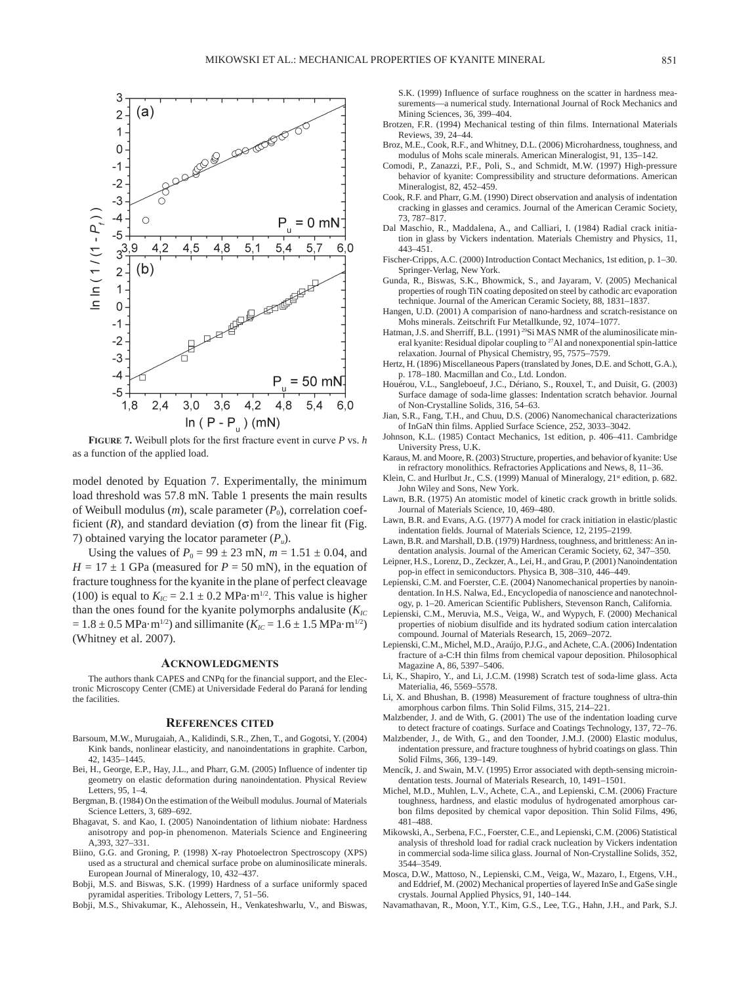

**Figure 7.** Weibull plots for the first fracture event in curve *P* vs. *h* as a function of the applied load.

model denoted by Equation 7. Experimentally, the minimum load threshold was 57.8 mN. Table 1 presents the main results of Weibull modulus  $(m)$ , scale parameter  $(P_0)$ , correlation coefficient  $(R)$ , and standard deviation  $(\sigma)$  from the linear fit (Fig. 7) obtained varying the locator parameter  $(P_u)$ .

Using the values of  $P_0 = 99 \pm 23$  mN,  $m = 1.51 \pm 0.04$ , and  $H = 17 \pm 1$  GPa (measured for  $P = 50$  mN), in the equation of fracture toughness for the kyanite in the plane of perfect cleavage (100) is equal to  $K_{IC} = 2.1 \pm 0.2$  MPa·m<sup>1/2</sup>. This value is higher than the ones found for the kyanite polymorphs andalusite  $(K_{IC})$  $= 1.8 \pm 0.5 \text{ MPa} \cdot \text{m}^{1/2}$ ) and sillimanite ( $K_{IC} = 1.6 \pm 1.5 \text{ MPa} \cdot \text{m}^{1/2}$ ) (Whitney et al. 2007).

#### **Acknowledgments**

The authors thank CAPES and CNPq for the financial support, and the Electronic Microscopy Center (CME) at Universidade Federal do Paraná for lending the facilities.

#### **References cited**

- Barsoum, M.W., Murugaiah, A., Kalidindi, S.R., Zhen, T., and Gogotsi, Y. (2004) Kink bands, nonlinear elasticity, and nanoindentations in graphite. Carbon, 42, 1435–1445.
- Bei, H., George, E.P., Hay, J.L., and Pharr, G.M. (2005) Influence of indenter tip geometry on elastic deformation during nanoindentation. Physical Review Letters, 95, 1–4.
- Bergman, B. (1984) On the estimation of the Weibull modulus. Journal of Materials Science Letters, 3, 689–692.
- Bhagavat, S. and Kao, I. (2005) Nanoindentation of lithium niobate: Hardness anisotropy and pop-in phenomenon. Materials Science and Engineering A,393, 327–331.
- Biino, G.G. and Groning, P. (1998) X-ray Photoelectron Spectroscopy (XPS) used as a structural and chemical surface probe on aluminosilicate minerals. European Journal of Mineralogy, 10, 432–437.
- Bobji, M.S. and Biswas, S.K. (1999) Hardness of a surface uniformly spaced pyramidal asperities. Tribology Letters, 7, 51–56.
- Bobji, M.S., Shivakumar, K., Alehossein, H., Venkateshwarlu, V., and Biswas,

S.K. (1999) Influence of surface roughness on the scatter in hardness measurements—a numerical study. International Journal of Rock Mechanics and Mining Sciences, 36, 399–404.

- Brotzen, F.R. (1994) Mechanical testing of thin films. International Materials Reviews, 39, 24–44.
- Broz, M.E., Cook, R.F., and Whitney, D.L. (2006) Microhardness, toughness, and modulus of Mohs scale minerals. American Mineralogist, 91, 135–142.
- Comodi, P., Zanazzi, P.F., Poli, S., and Schmidt, M.W. (1997) High-pressure behavior of kyanite: Compressibility and structure deformations. American Mineralogist, 82, 452–459.
- Cook, R.F. and Pharr, G.M. (1990) Direct observation and analysis of indentation cracking in glasses and ceramics. Journal of the American Ceramic Society, 73, 787–817.
- Dal Maschio, R., Maddalena, A., and Calliari, I. (1984) Radial crack initiation in glass by Vickers indentation. Materials Chemistry and Physics, 11, 443–451.
- Fischer-Cripps, A.C. (2000) Introduction Contact Mechanics, 1st edition, p. 1–30. Springer-Verlag, New York.
- Gunda, R., Biswas, S.K., Bhowmick, S., and Jayaram, V. (2005) Mechanical properties of rough TiN coating deposited on steel by cathodic arc evaporation technique. Journal of the American Ceramic Society, 88, 1831–1837.
- Hangen, U.D. (2001) A comparision of nano-hardness and scratch-resistance on Mohs minerals. Zeitschrift Fur Metallkunde, 92, 1074–1077.
- Hatman, J.S. and Sherriff, B.L. (1991)<sup>29</sup>Si MAS NMR of the aluminosilicate mineral kyanite: Residual dipolar coupling to 27Al and nonexponential spin-lattice relaxation. Journal of Physical Chemistry, 95, 7575–7579.
- Hertz, H. (1896) Miscellaneous Papers (translated by Jones, D.E. and Schott, G.A.), p. 178–180. Macmillan and Co., Ltd. London.
- Houérou, V.L., Sangleboeuf, J.C., Dériano, S., Rouxel, T., and Duisit, G. (2003) Surface damage of soda-lime glasses: Indentation scratch behavior. Journal of Non-Crystalline Solids, 316, 54–63.
- Jian, S.R., Fang, T.H., and Chuu, D.S. (2006) Nanomechanical characterizations of InGaN thin films. Applied Surface Science, 252, 3033–3042.
- Johnson, K.L. (1985) Contact Mechanics, 1st edition, p. 406–411. Cambridge University Press, U.K.
- Karaus, M. and Moore, R. (2003) Structure, properties, and behavior of kyanite: Use in refractory monolithics. Refractories Applications and News, 8, 11–36.
- Klein, C. and Hurlbut Jr., C.S. (1999) Manual of Mineralogy, 21<sup>st</sup> edition, p. 682. John Wiley and Sons, New York.
- Lawn, B.R. (1975) An atomistic model of kinetic crack growth in brittle solids. Journal of Materials Science, 10, 469–480.
- Lawn, B.R. and Evans, A.G. (1977) A model for crack initiation in elastic/plastic indentation fields. Journal of Materials Science, 12, 2195–2199.
- Lawn, B.R. and Marshall, D.B. (1979) Hardness, toughness, and brittleness: An indentation analysis. Journal of the American Ceramic Society, 62, 347–350.
- Leipner, H.S., Lorenz, D., Zeckzer, A., Lei, H., and Grau, P. (2001) Nanoindentation pop-in effect in semiconductors. Physica B, 308–310, 446–449.
- Lepienski, C.M. and Foerster, C.E. (2004) Nanomechanical properties by nanoindentation. In H.S. Nalwa, Ed., Encyclopedia of nanoscience and nanotechnology, p. 1–20. American Scientific Publishers, Stevenson Ranch, California.
- Lepienski, C.M., Meruvia, M.S., Veiga, W., and Wypych, F. (2000) Mechanical properties of niobium disulfide and its hydrated sodium cation intercalation compound. Journal of Materials Research, 15, 2069–2072.
- Lepienski, C.M., Michel, M.D., Araújo, P.J.G., and Achete, C.A. (2006) Indentation fracture of a-C:H thin films from chemical vapour deposition. Philosophical Magazine A, 86, 5397–5406.
- Li, K., Shapiro, Y., and Li, J.C.M. (1998) Scratch test of soda-lime glass. Acta Materialia, 46, 5569–5578.
- Li, X. and Bhushan, B. (1998) Measurement of fracture toughness of ultra-thin amorphous carbon films. Thin Solid Films, 315, 214–221.
- Malzbender, J. and de With, G. (2001) The use of the indentation loading curve to detect fracture of coatings. Surface and Coatings Technology, 137, 72–76.
- Malzbender, J., de With, G., and den Toonder, J.M.J. (2000) Elastic modulus, indentation pressure, and fracture toughness of hybrid coatings on glass. Thin Solid Films, 366, 139–149.
- Mencík, J. and Swain, M.V. (1995) Error associated with depth-sensing microindentation tests. Journal of Materials Research, 10, 1491–1501.
- Michel, M.D., Muhlen, L.V., Achete, C.A., and Lepienski, C.M. (2006) Fracture toughness, hardness, and elastic modulus of hydrogenated amorphous carbon films deposited by chemical vapor deposition. Thin Solid Films, 496, 481–488.
- Mikowski, A., Serbena, F.C., Foerster, C.E., and Lepienski, C.M. (2006) Statistical analysis of threshold load for radial crack nucleation by Vickers indentation in commercial soda-lime silica glass. Journal of Non-Crystalline Solids, 352, 3544–3549.
- Mosca, D.W., Mattoso, N., Lepienski, C.M., Veiga, W., Mazaro, I., Etgens, V.H., and Eddrief, M. (2002) Mechanical properties of layered InSe and GaSe single crystals. Journal Applied Physics, 91, 140–144.
- Navamathavan, R., Moon, Y.T., Kim, G.S., Lee, T.G., Hahn, J.H., and Park, S.J.